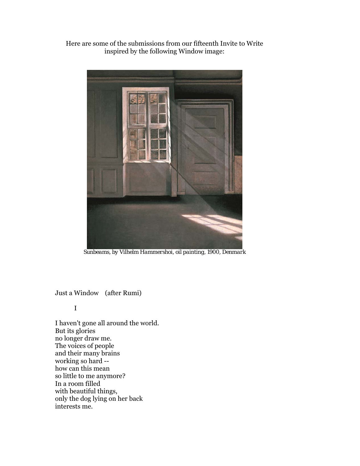Here are some of the submissions from our fifteenth Invite to Write inspired by the following Window image:



*Sunbeams, by Vilhelm Hammershoi, oil painting, 1900, Denmark* 

Just a Window (after Rumi)

I

I haven't gone all around the world. But its glories no longer draw me. The voices of people and their many brains working so hard - how can this mean so little to me anymore? In a room filled with beautiful things, only the dog lying on her back interests me.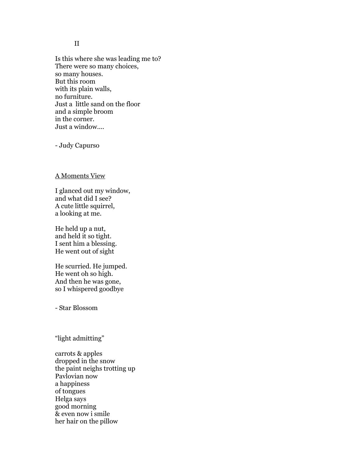## II

Is this where she was leading me to? There were so many choices, so many houses. But this room with its plain walls, no furniture. Just a little sand on the floor and a simple broom in the corner. Just a window....

- Judy Capurso

### A Moments View

I glanced out my window, and what did I see? A cute little squirrel, a looking at me.

He held up a nut, and held it so tight. I sent him a blessing. He went out of sight

He scurried. He jumped. He went oh so high. And then he was gone, so I whispered goodbye

- Star Blossom

"light admitting"

carrots & apples dropped in the snow the paint neighs trotting up Pavlovian now a happiness of tongues Helga says good morning & even now i smile her hair on the pillow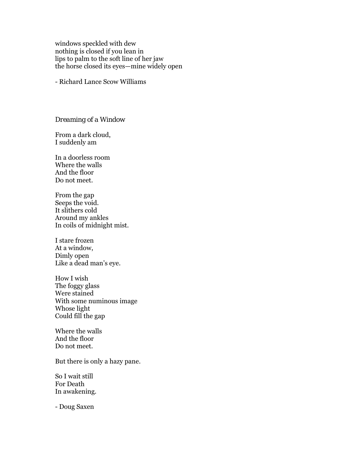windows speckled with dew nothing is closed if you lean in lips to palm to the soft line of her jaw the horse closed its eyes—mine widely open

- Richard Lance Scow Williams

*Dreaming of a Window*

From a dark cloud, I suddenly am

In a doorless room Where the walls And the floor Do not meet.

From the gap Seeps the void. It slithers cold Around my ankles In coils of midnight mist.

I stare frozen At a window, Dimly open Like a dead man's eye.

How I wish The foggy glass Were stained With some numinous image Whose light Could fill the gap

Where the walls And the floor Do not meet.

But there is only a hazy pane.

So I wait still For Death In awakening.

- Doug Saxen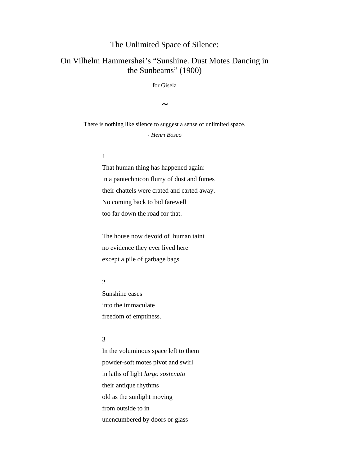# The Unlimited Space of Silence:

# On Vilhelm Hammershøi's "Sunshine. Dust Motes Dancing in the Sunbeams" (1900)

for Gisela

**~** 

There is nothing like silence to suggest a sense of unlimited space. - *Henri Bosco* 

## 1

That human thing has happened again: in a pantechnicon flurry of dust and fumes their chattels were crated and carted away. No coming back to bid farewell too far down the road for that.

The house now devoid of human taint no evidence they ever lived here except a pile of garbage bags.

### 2

Sunshine eases into the immaculate freedom of emptiness.

#### 3

In the voluminous space left to them powder-soft motes pivot and swirl in laths of light *largo sostenuto* their antique rhythms old as the sunlight moving from outside to in unencumbered by doors or glass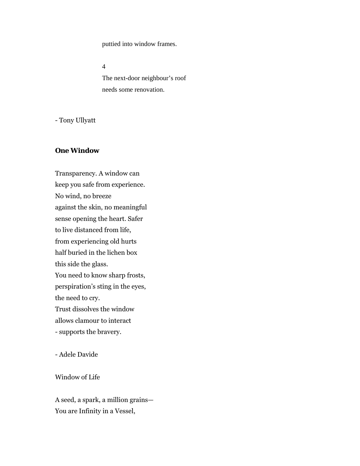puttied into window frames.

4 The next-door neighbour's roof needs some renovation.

- Tony Ullyatt

## **One Window**

Transparency. A window can keep you safe from experience. No wind, no breeze against the skin, no meaningful sense opening the heart. Safer to live distanced from life, from experiencing old hurts half buried in the lichen box this side the glass. You need to know sharp frosts, perspiration's sting in the eyes, the need to cry. Trust dissolves the window allows clamour to interact - supports the bravery.

- Adele Davide

## Window of Life

A seed, a spark, a million grains— You are Infinity in a Vessel,